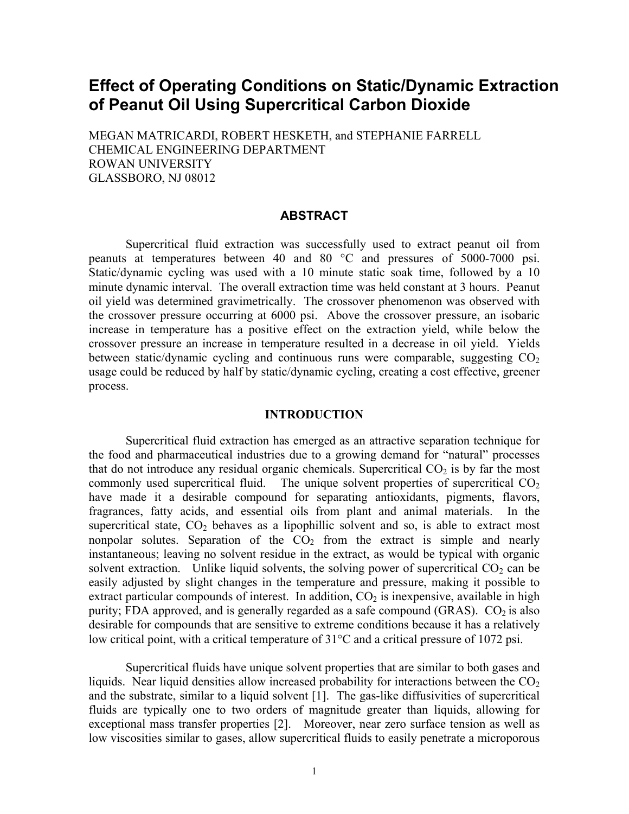# **Effect of Operating Conditions on Static/Dynamic Extraction of Peanut Oil Using Supercritical Carbon Dioxide**

MEGAN MATRICARDI, ROBERT HESKETH, and STEPHANIE FARRELL CHEMICAL ENGINEERING DEPARTMENT ROWAN UNIVERSITY GLASSBORO, NJ 08012

### **ABSTRACT**

Supercritical fluid extraction was successfully used to extract peanut oil from peanuts at temperatures between 40 and 80 °C and pressures of 5000-7000 psi. Static/dynamic cycling was used with a 10 minute static soak time, followed by a 10 minute dynamic interval. The overall extraction time was held constant at 3 hours. Peanut oil yield was determined gravimetrically. The crossover phenomenon was observed with the crossover pressure occurring at 6000 psi. Above the crossover pressure, an isobaric increase in temperature has a positive effect on the extraction yield, while below the crossover pressure an increase in temperature resulted in a decrease in oil yield. Yields between static/dynamic cycling and continuous runs were comparable, suggesting  $CO<sub>2</sub>$ usage could be reduced by half by static/dynamic cycling, creating a cost effective, greener process.

#### **INTRODUCTION**

Supercritical fluid extraction has emerged as an attractive separation technique for the food and pharmaceutical industries due to a growing demand for "natural" processes that do not introduce any residual organic chemicals. Supercritical  $CO<sub>2</sub>$  is by far the most commonly used supercritical fluid. The unique solvent properties of supercritical  $CO<sub>2</sub>$ have made it a desirable compound for separating antioxidants, pigments, flavors, fragrances, fatty acids, and essential oils from plant and animal materials. In the supercritical state,  $CO<sub>2</sub>$  behaves as a lipophillic solvent and so, is able to extract most nonpolar solutes. Separation of the  $CO<sub>2</sub>$  from the extract is simple and nearly instantaneous; leaving no solvent residue in the extract, as would be typical with organic solvent extraction. Unlike liquid solvents, the solving power of supercritical  $CO<sub>2</sub>$  can be easily adjusted by slight changes in the temperature and pressure, making it possible to extract particular compounds of interest. In addition,  $CO<sub>2</sub>$  is inexpensive, available in high purity; FDA approved, and is generally regarded as a safe compound (GRAS).  $CO<sub>2</sub>$  is also desirable for compounds that are sensitive to extreme conditions because it has a relatively low critical point, with a critical temperature of 31°C and a critical pressure of 1072 psi.

Supercritical fluids have unique solvent properties that are similar to both gases and liquids. Near liquid densities allow increased probability for interactions between the  $CO<sub>2</sub>$ and the substrate, similar to a liquid solvent [1]. The gas-like diffusivities of supercritical fluids are typically one to two orders of magnitude greater than liquids, allowing for exceptional mass transfer properties [2]. Moreover, near zero surface tension as well as low viscosities similar to gases, allow supercritical fluids to easily penetrate a microporous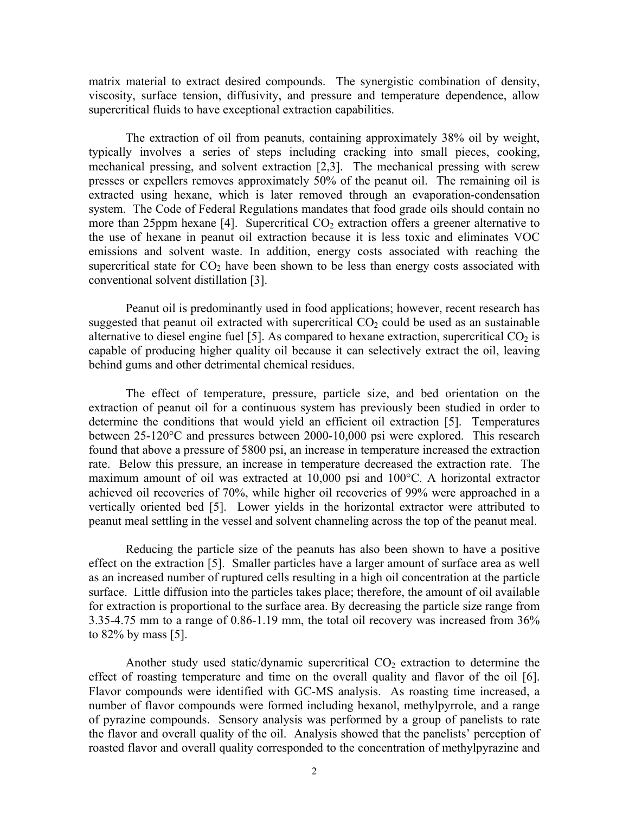matrix material to extract desired compounds. The synergistic combination of density, viscosity, surface tension, diffusivity, and pressure and temperature dependence, allow supercritical fluids to have exceptional extraction capabilities.

The extraction of oil from peanuts, containing approximately 38% oil by weight, typically involves a series of steps including cracking into small pieces, cooking, mechanical pressing, and solvent extraction [2,3]. The mechanical pressing with screw presses or expellers removes approximately 50% of the peanut oil. The remaining oil is extracted using hexane, which is later removed through an evaporation-condensation system. The Code of Federal Regulations mandates that food grade oils should contain no more than 25ppm hexane [4]. Supercritical  $CO<sub>2</sub>$  extraction offers a greener alternative to the use of hexane in peanut oil extraction because it is less toxic and eliminates VOC emissions and solvent waste. In addition, energy costs associated with reaching the supercritical state for  $CO<sub>2</sub>$  have been shown to be less than energy costs associated with conventional solvent distillation [3].

Peanut oil is predominantly used in food applications; however, recent research has suggested that peanut oil extracted with supercritical  $CO<sub>2</sub>$  could be used as an sustainable alternative to diesel engine fuel [5]. As compared to hexane extraction, supercritical  $CO<sub>2</sub>$  is capable of producing higher quality oil because it can selectively extract the oil, leaving behind gums and other detrimental chemical residues.

The effect of temperature, pressure, particle size, and bed orientation on the extraction of peanut oil for a continuous system has previously been studied in order to determine the conditions that would yield an efficient oil extraction [5]. Temperatures between 25-120°C and pressures between 2000-10,000 psi were explored. This research found that above a pressure of 5800 psi, an increase in temperature increased the extraction rate. Below this pressure, an increase in temperature decreased the extraction rate. The maximum amount of oil was extracted at 10,000 psi and 100°C. A horizontal extractor achieved oil recoveries of 70%, while higher oil recoveries of 99% were approached in a vertically oriented bed [5]. Lower yields in the horizontal extractor were attributed to peanut meal settling in the vessel and solvent channeling across the top of the peanut meal.

Reducing the particle size of the peanuts has also been shown to have a positive effect on the extraction [5]. Smaller particles have a larger amount of surface area as well as an increased number of ruptured cells resulting in a high oil concentration at the particle surface. Little diffusion into the particles takes place; therefore, the amount of oil available for extraction is proportional to the surface area. By decreasing the particle size range from 3.35-4.75 mm to a range of 0.86-1.19 mm, the total oil recovery was increased from 36% to 82% by mass [5].

Another study used static/dynamic supercritical  $CO<sub>2</sub>$  extraction to determine the effect of roasting temperature and time on the overall quality and flavor of the oil [6]. Flavor compounds were identified with GC-MS analysis. As roasting time increased, a number of flavor compounds were formed including hexanol, methylpyrrole, and a range of pyrazine compounds. Sensory analysis was performed by a group of panelists to rate the flavor and overall quality of the oil. Analysis showed that the panelists' perception of roasted flavor and overall quality corresponded to the concentration of methylpyrazine and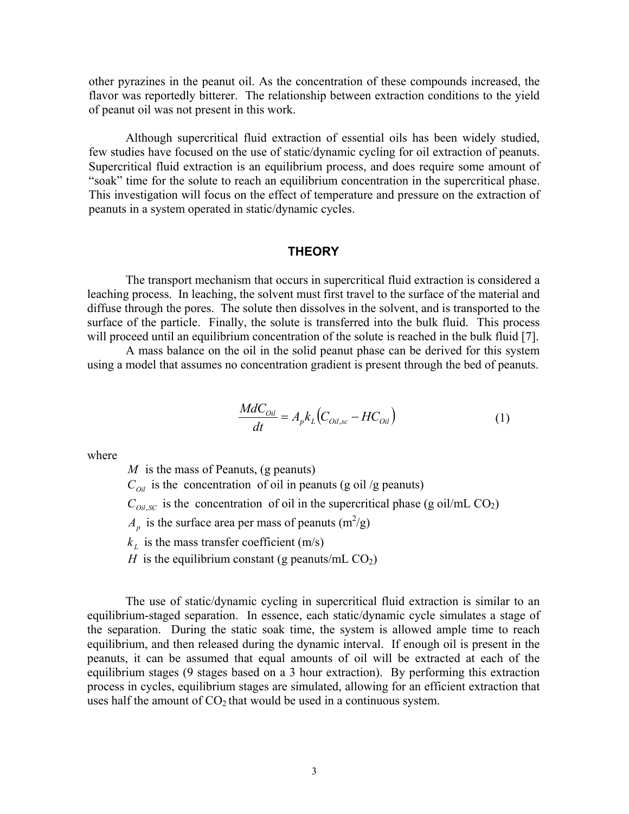other pyrazines in the peanut oil. As the concentration of these compounds increased, the flavor was reportedly bitterer. The relationship between extraction conditions to the yield of peanut oil was not present in this work.

Although supercritical fluid extraction of essential oils has been widely studied, few studies have focused on the use of static/dynamic cycling for oil extraction of peanuts. Supercritical fluid extraction is an equilibrium process, and does require some amount of "soak" time for the solute to reach an equilibrium concentration in the supercritical phase. This investigation will focus on the effect of temperature and pressure on the extraction of peanuts in a system operated in static/dynamic cycles.

#### **THEORY**

The transport mechanism that occurs in supercritical fluid extraction is considered a leaching process. In leaching, the solvent must first travel to the surface of the material and diffuse through the pores. The solute then dissolves in the solvent, and is transported to the surface of the particle. Finally, the solute is transferred into the bulk fluid. This process will proceed until an equilibrium concentration of the solute is reached in the bulk fluid [7].

A mass balance on the oil in the solid peanut phase can be derived for this system using a model that assumes no concentration gradient is present through the bed of peanuts.

$$
\frac{MdC_{oil}}{dt} = A_p k_L (C_{oil,sc} - HC_{oil})
$$
\n(1)

where

*M* is the mass of Peanuts, (g peanuts)  $C_{\text{Oil}}$  is the concentration of oil in peanuts (g oil /g peanuts)  $C_{Oil,SC}$  is the concentration of oil in the supercritical phase (g oil/mL CO<sub>2</sub>)  $A_p$  is the surface area per mass of peanuts (m<sup>2</sup>/g)  $k_t$  is the mass transfer coefficient (m/s) *H* is the equilibrium constant (g peanuts/mL  $CO<sub>2</sub>$ )

The use of static/dynamic cycling in supercritical fluid extraction is similar to an equilibrium-staged separation. In essence, each static/dynamic cycle simulates a stage of the separation. During the static soak time, the system is allowed ample time to reach equilibrium, and then released during the dynamic interval. If enough oil is present in the peanuts, it can be assumed that equal amounts of oil will be extracted at each of the equilibrium stages (9 stages based on a 3 hour extraction). By performing this extraction process in cycles, equilibrium stages are simulated, allowing for an efficient extraction that uses half the amount of  $CO<sub>2</sub>$  that would be used in a continuous system.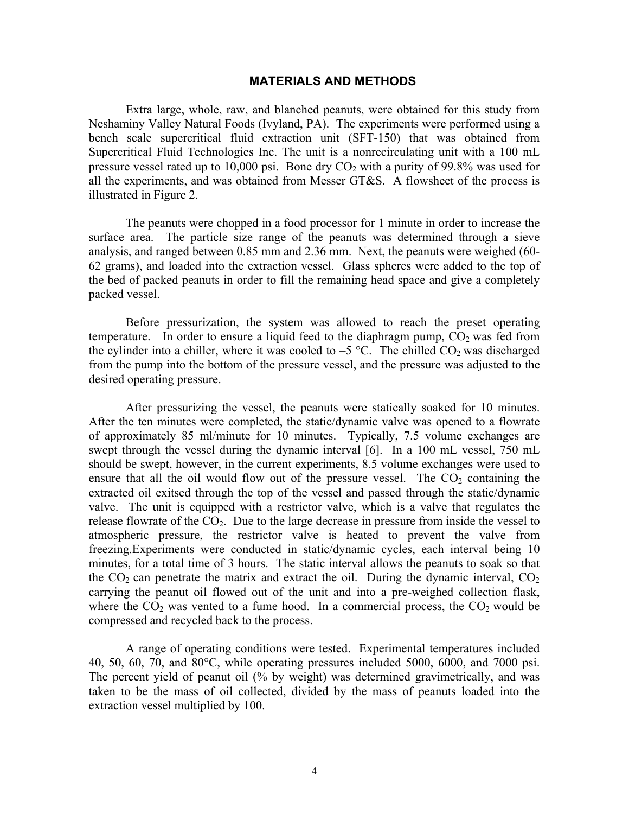#### **MATERIALS AND METHODS**

Extra large, whole, raw, and blanched peanuts, were obtained for this study from Neshaminy Valley Natural Foods (Ivyland, PA). The experiments were performed using a bench scale supercritical fluid extraction unit (SFT-150) that was obtained from Supercritical Fluid Technologies Inc. The unit is a nonrecirculating unit with a 100 mL pressure vessel rated up to 10,000 psi. Bone dry  $CO<sub>2</sub>$  with a purity of 99.8% was used for all the experiments, and was obtained from Messer GT&S. A flowsheet of the process is illustrated in Figure 2.

The peanuts were chopped in a food processor for 1 minute in order to increase the surface area. The particle size range of the peanuts was determined through a sieve analysis, and ranged between 0.85 mm and 2.36 mm. Next, the peanuts were weighed (60- 62 grams), and loaded into the extraction vessel. Glass spheres were added to the top of the bed of packed peanuts in order to fill the remaining head space and give a completely packed vessel.

Before pressurization, the system was allowed to reach the preset operating temperature. In order to ensure a liquid feed to the diaphragm pump,  $CO<sub>2</sub>$  was fed from the cylinder into a chiller, where it was cooled to  $-5$  °C. The chilled CO<sub>2</sub> was discharged from the pump into the bottom of the pressure vessel, and the pressure was adjusted to the desired operating pressure.

After pressurizing the vessel, the peanuts were statically soaked for 10 minutes. After the ten minutes were completed, the static/dynamic valve was opened to a flowrate of approximately 85 ml/minute for 10 minutes. Typically, 7.5 volume exchanges are swept through the vessel during the dynamic interval [6]. In a 100 mL vessel, 750 mL should be swept, however, in the current experiments, 8.5 volume exchanges were used to ensure that all the oil would flow out of the pressure vessel. The  $CO<sub>2</sub>$  containing the extracted oil exitsed through the top of the vessel and passed through the static/dynamic valve. The unit is equipped with a restrictor valve, which is a valve that regulates the release flowrate of the  $CO<sub>2</sub>$ . Due to the large decrease in pressure from inside the vessel to atmospheric pressure, the restrictor valve is heated to prevent the valve from freezing.Experiments were conducted in static/dynamic cycles, each interval being 10 minutes, for a total time of 3 hours. The static interval allows the peanuts to soak so that the  $CO<sub>2</sub>$  can penetrate the matrix and extract the oil. During the dynamic interval,  $CO<sub>2</sub>$ carrying the peanut oil flowed out of the unit and into a pre-weighed collection flask, where the  $CO<sub>2</sub>$  was vented to a fume hood. In a commercial process, the  $CO<sub>2</sub>$  would be compressed and recycled back to the process.

A range of operating conditions were tested. Experimental temperatures included 40, 50, 60, 70, and 80°C, while operating pressures included 5000, 6000, and 7000 psi. The percent yield of peanut oil (% by weight) was determined gravimetrically, and was taken to be the mass of oil collected, divided by the mass of peanuts loaded into the extraction vessel multiplied by 100.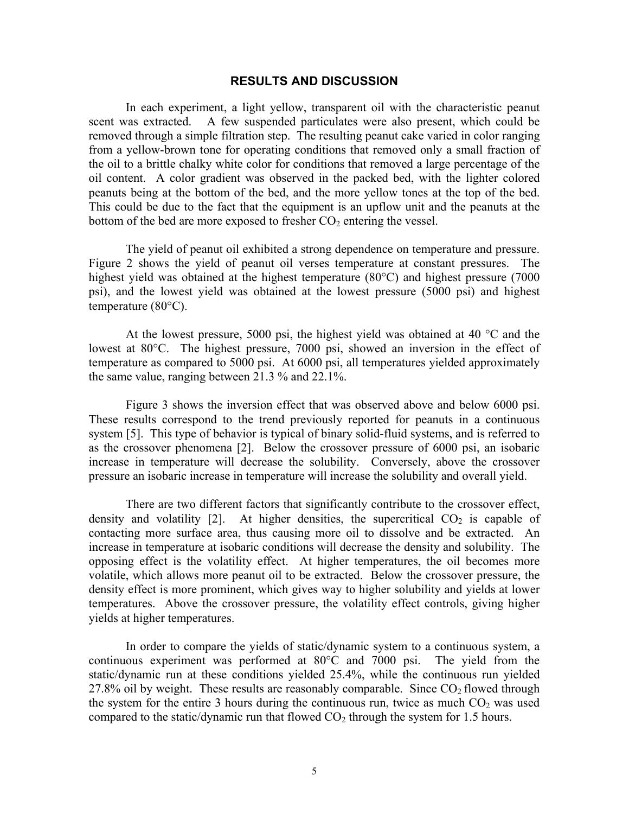#### **RESULTS AND DISCUSSION**

In each experiment, a light yellow, transparent oil with the characteristic peanut scent was extracted. A few suspended particulates were also present, which could be removed through a simple filtration step. The resulting peanut cake varied in color ranging from a yellow-brown tone for operating conditions that removed only a small fraction of the oil to a brittle chalky white color for conditions that removed a large percentage of the oil content. A color gradient was observed in the packed bed, with the lighter colored peanuts being at the bottom of the bed, and the more yellow tones at the top of the bed. This could be due to the fact that the equipment is an upflow unit and the peanuts at the bottom of the bed are more exposed to fresher  $CO<sub>2</sub>$  entering the vessel.

The yield of peanut oil exhibited a strong dependence on temperature and pressure. Figure 2 shows the yield of peanut oil verses temperature at constant pressures. The highest yield was obtained at the highest temperature (80°C) and highest pressure (7000 psi), and the lowest yield was obtained at the lowest pressure (5000 psi) and highest temperature (80°C).

At the lowest pressure, 5000 psi, the highest yield was obtained at 40 °C and the lowest at 80°C. The highest pressure, 7000 psi, showed an inversion in the effect of temperature as compared to 5000 psi. At 6000 psi, all temperatures yielded approximately the same value, ranging between 21.3 % and 22.1%.

Figure 3 shows the inversion effect that was observed above and below 6000 psi. These results correspond to the trend previously reported for peanuts in a continuous system [5]. This type of behavior is typical of binary solid-fluid systems, and is referred to as the crossover phenomena [2]. Below the crossover pressure of 6000 psi, an isobaric increase in temperature will decrease the solubility. Conversely, above the crossover pressure an isobaric increase in temperature will increase the solubility and overall yield.

There are two different factors that significantly contribute to the crossover effect, density and volatility  $[2]$ . At higher densities, the supercritical  $CO<sub>2</sub>$  is capable of contacting more surface area, thus causing more oil to dissolve and be extracted. An increase in temperature at isobaric conditions will decrease the density and solubility. The opposing effect is the volatility effect. At higher temperatures, the oil becomes more volatile, which allows more peanut oil to be extracted. Below the crossover pressure, the density effect is more prominent, which gives way to higher solubility and yields at lower temperatures. Above the crossover pressure, the volatility effect controls, giving higher yields at higher temperatures.

In order to compare the yields of static/dynamic system to a continuous system, a continuous experiment was performed at 80°C and 7000 psi. The yield from the static/dynamic run at these conditions yielded 25.4%, while the continuous run yielded 27.8% oil by weight. These results are reasonably comparable. Since  $CO<sub>2</sub>$  flowed through the system for the entire 3 hours during the continuous run, twice as much  $CO<sub>2</sub>$  was used compared to the static/dynamic run that flowed  $CO<sub>2</sub>$  through the system for 1.5 hours.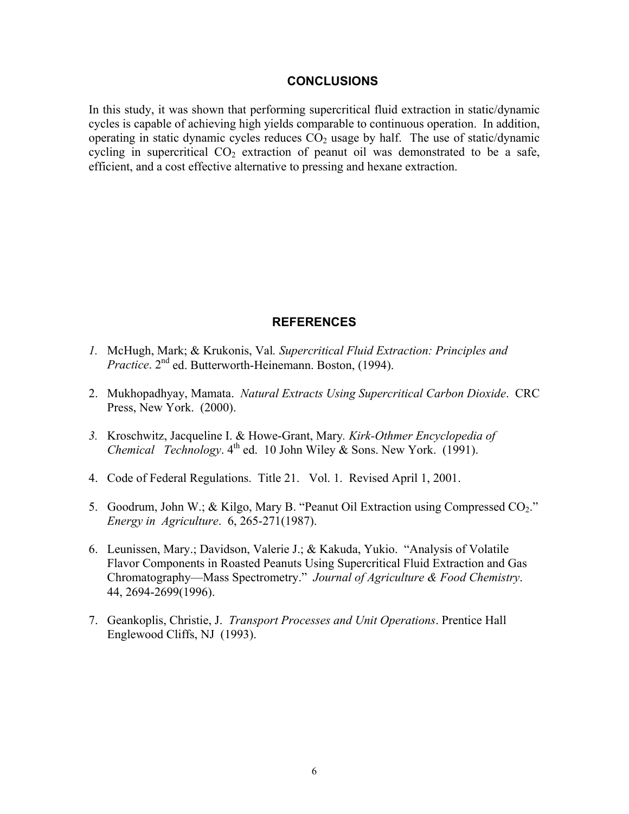#### **CONCLUSIONS**

In this study, it was shown that performing supercritical fluid extraction in static/dynamic cycles is capable of achieving high yields comparable to continuous operation. In addition, operating in static dynamic cycles reduces  $CO<sub>2</sub>$  usage by half. The use of static/dynamic cycling in supercritical  $CO<sub>2</sub>$  extraction of peanut oil was demonstrated to be a safe, efficient, and a cost effective alternative to pressing and hexane extraction.

## **REFERENCES**

- *1.* McHugh, Mark; & Krukonis, Val*. Supercritical Fluid Extraction: Principles and Practice*. 2nd ed. Butterworth-Heinemann. Boston, (1994).
- 2. Mukhopadhyay, Mamata. *Natural Extracts Using Supercritical Carbon Dioxide*. CRC Press, New York. (2000).
- *3.* Kroschwitz, Jacqueline I. & Howe-Grant, Mary*. Kirk-Othmer Encyclopedia of Chemical Technology*.  $4^{\text{th}}$  ed. 10 John Wiley & Sons. New York. (1991).
- 4. Code of Federal Regulations. Title 21. Vol. 1. Revised April 1, 2001.
- 5. Goodrum, John W.; & Kilgo, Mary B. "Peanut Oil Extraction using Compressed CO<sub>2</sub>." *Energy in Agriculture*. 6, 265-271(1987).
- 6. Leunissen, Mary.; Davidson, Valerie J.; & Kakuda, Yukio. "Analysis of Volatile Flavor Components in Roasted Peanuts Using Supercritical Fluid Extraction and Gas Chromatography—Mass Spectrometry." *Journal of Agriculture & Food Chemistry*. 44, 2694-2699(1996).
- 7. Geankoplis, Christie, J. *Transport Processes and Unit Operations*. Prentice Hall Englewood Cliffs, NJ (1993).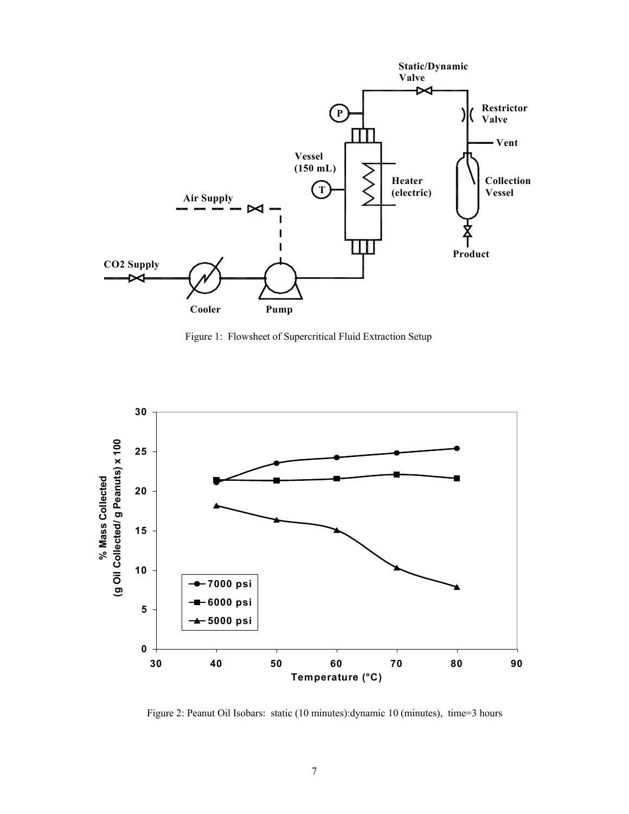

Figure 1: Flowsheet of Supercritical Fluid Extraction Setup



Figure 2: Peanut Oil Isobars: static (10 minutes):dynamic 10 (minutes), time=3 hours